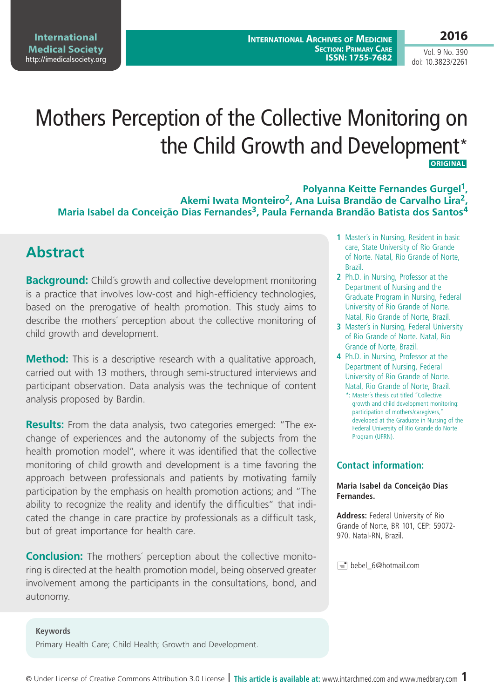**International Medical Society**  <http://imedicalsociety.org>

Vol. 9 No. 390 doi: 10.3823/2261

# Mothers Perception of the Collective Monitoring on the Child Growth and Development\*  **ORIGINAL**

**Polyanna Keitte Fernandes Gurgel<sup>1</sup>**, **Akemi Iwata Monteiro2, Ana Luisa Brandão de Carvalho Lira2, Maria Isabel da Conceição Dias Fernandes3, Paula Fernanda Brandão Batista dos Santos4**

### **Abstract**

**Background:** Child's growth and collective development monitoring is a practice that involves low-cost and high-efficiency technologies, based on the prerogative of health promotion. This study aims to describe the mothers´ perception about the collective monitoring of child growth and development.

**Method:** This is a descriptive research with a qualitative approach, carried out with 13 mothers, through semi-structured interviews and participant observation. Data analysis was the technique of content analysis proposed by Bardin.

**Results:** From the data analysis, two categories emerged: "The exchange of experiences and the autonomy of the subjects from the health promotion model", where it was identified that the collective monitoring of child growth and development is a time favoring the approach between professionals and patients by motivating family participation by the emphasis on health promotion actions; and "The ability to recognize the reality and identify the difficulties" that indicated the change in care practice by professionals as a difficult task, but of great importance for health care.

**Conclusion:** The mothers´ perception about the collective monitoring is directed at the health promotion model, being observed greater involvement among the participants in the consultations, bond, and autonomy.

- **1** Master´s in Nursing, Resident in basic care, State University of Rio Grande of Norte. Natal, Rio Grande of Norte, Brazil.
- **2** Ph.D. in Nursing, Professor at the Department of Nursing and the Graduate Program in Nursing, Federal University of Rio Grande of Norte. Natal, Rio Grande of Norte, Brazil.
- **3** Master´s in Nursing, Federal University of Rio Grande of Norte. Natal, Rio Grande of Norte, Brazil.
- **4** Ph.D. in Nursing, Professor at the Department of Nursing, Federal University of Rio Grande of Norte. Natal, Rio Grande of Norte, Brazil.
	- \*: Master´s thesis cut titled "Collective growth and child development monitoring: participation of mothers/caregivers," developed at the Graduate in Nursing of the Federal University of Rio Grande do Norte Program (UFRN).

#### **Contact information:**

#### **Maria Isabel da Conceição Dias Fernandes.**

**Address:** Federal University of Rio Grande of Norte, BR 101, CEP: 59072- 970. Natal-RN, Brazil.

bebel\_6@hotmail.com

#### **Keywords**

Primary Health Care; Child Health; Growth and Development.

© Under License of Creative Commons Attribution 3.0 License **| This article is available at:** www.intarchmed.com and [www.medbrary.com](http://www.medbrary.com) 1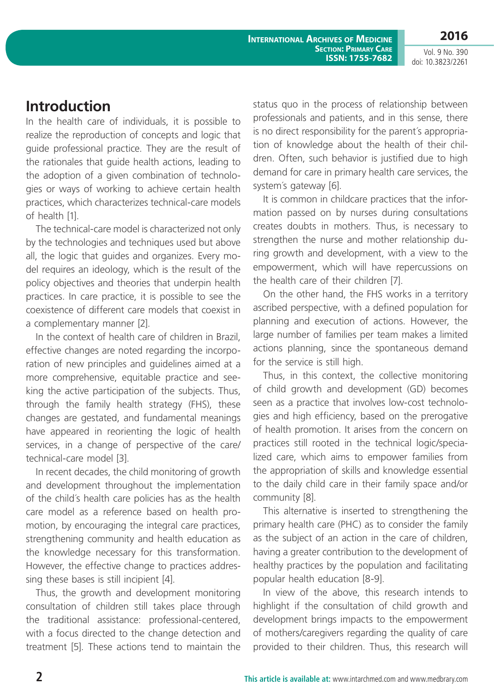**International Archives of Medicine Section: Primary Care ISSN: 1755-7682**

Vol. 9 No. 390 doi: 10.3823/2261

**2016**

### **Introduction**

In the health care of individuals, it is possible to realize the reproduction of concepts and logic that guide professional practice. They are the result of the rationales that guide health actions, leading to the adoption of a given combination of technologies or ways of working to achieve certain health practices, which characterizes technical-care models of health [1].

The technical-care model is characterized not only by the technologies and techniques used but above all, the logic that guides and organizes. Every model requires an ideology, which is the result of the policy objectives and theories that underpin health practices. In care practice, it is possible to see the coexistence of different care models that coexist in a complementary manner [2].

In the context of health care of children in Brazil, effective changes are noted regarding the incorporation of new principles and guidelines aimed at a more comprehensive, equitable practice and seeking the active participation of the subjects. Thus, through the family health strategy (FHS), these changes are gestated, and fundamental meanings have appeared in reorienting the logic of health services, in a change of perspective of the care/ technical-care model [3].

In recent decades, the child monitoring of growth and development throughout the implementation of the child´s health care policies has as the health care model as a reference based on health promotion, by encouraging the integral care practices, strengthening community and health education as the knowledge necessary for this transformation. However, the effective change to practices addressing these bases is still incipient [4].

Thus, the growth and development monitoring consultation of children still takes place through the traditional assistance: professional-centered, with a focus directed to the change detection and treatment [5]. These actions tend to maintain the status quo in the process of relationship between professionals and patients, and in this sense, there is no direct responsibility for the parent´s appropriation of knowledge about the health of their children. Often, such behavior is justified due to high demand for care in primary health care services, the system´s gateway [6].

It is common in childcare practices that the information passed on by nurses during consultations creates doubts in mothers. Thus, is necessary to strengthen the nurse and mother relationship during growth and development, with a view to the empowerment, which will have repercussions on the health care of their children [7].

On the other hand, the FHS works in a territory ascribed perspective, with a defined population for planning and execution of actions. However, the large number of families per team makes a limited actions planning, since the spontaneous demand for the service is still high.

Thus, in this context, the collective monitoring of child growth and development (GD) becomes seen as a practice that involves low-cost technologies and high efficiency, based on the prerogative of health promotion. It arises from the concern on practices still rooted in the technical logic/specialized care, which aims to empower families from the appropriation of skills and knowledge essential to the daily child care in their family space and/or community [8].

This alternative is inserted to strengthening the primary health care (PHC) as to consider the family as the subject of an action in the care of children, having a greater contribution to the development of healthy practices by the population and facilitating popular health education [8-9].

In view of the above, this research intends to highlight if the consultation of child growth and development brings impacts to the empowerment of mothers/caregivers regarding the quality of care provided to their children. Thus, this research will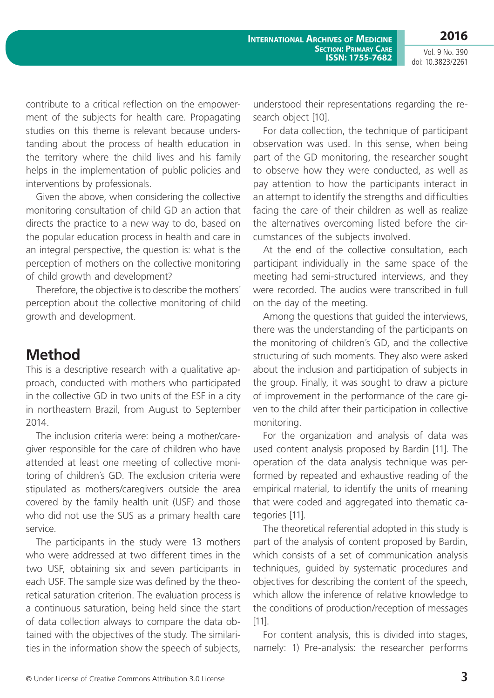**2016**

Vol. 9 No. 390 doi: 10.3823/2261

contribute to a critical reflection on the empowerment of the subjects for health care. Propagating studies on this theme is relevant because understanding about the process of health education in the territory where the child lives and his family helps in the implementation of public policies and interventions by professionals.

Given the above, when considering the collective monitoring consultation of child GD an action that directs the practice to a new way to do, based on the popular education process in health and care in an integral perspective, the question is: what is the perception of mothers on the collective monitoring of child growth and development?

Therefore, the objective is to describe the mothers´ perception about the collective monitoring of child growth and development.

# **Method**

This is a descriptive research with a qualitative approach, conducted with mothers who participated in the collective GD in two units of the ESF in a city in northeastern Brazil, from August to September 2014.

The inclusion criteria were: being a mother/caregiver responsible for the care of children who have attended at least one meeting of collective monitoring of children´s GD. The exclusion criteria were stipulated as mothers/caregivers outside the area covered by the family health unit (USF) and those who did not use the SUS as a primary health care service.

The participants in the study were 13 mothers who were addressed at two different times in the two USF, obtaining six and seven participants in each USF. The sample size was defined by the theoretical saturation criterion. The evaluation process is a continuous saturation, being held since the start of data collection always to compare the data obtained with the objectives of the study. The similarities in the information show the speech of subjects, understood their representations regarding the research object [10].

For data collection, the technique of participant observation was used. In this sense, when being part of the GD monitoring, the researcher sought to observe how they were conducted, as well as pay attention to how the participants interact in an attempt to identify the strengths and difficulties facing the care of their children as well as realize the alternatives overcoming listed before the circumstances of the subjects involved.

At the end of the collective consultation, each participant individually in the same space of the meeting had semi-structured interviews, and they were recorded. The audios were transcribed in full on the day of the meeting.

Among the questions that guided the interviews, there was the understanding of the participants on the monitoring of children´s GD, and the collective structuring of such moments. They also were asked about the inclusion and participation of subjects in the group. Finally, it was sought to draw a picture of improvement in the performance of the care given to the child after their participation in collective monitoring.

For the organization and analysis of data was used content analysis proposed by Bardin [11]. The operation of the data analysis technique was performed by repeated and exhaustive reading of the empirical material, to identify the units of meaning that were coded and aggregated into thematic categories [11].

The theoretical referential adopted in this study is part of the analysis of content proposed by Bardin, which consists of a set of communication analysis techniques, guided by systematic procedures and objectives for describing the content of the speech, which allow the inference of relative knowledge to the conditions of production/reception of messages [11].

For content analysis, this is divided into stages, namely: 1) Pre-analysis: the researcher performs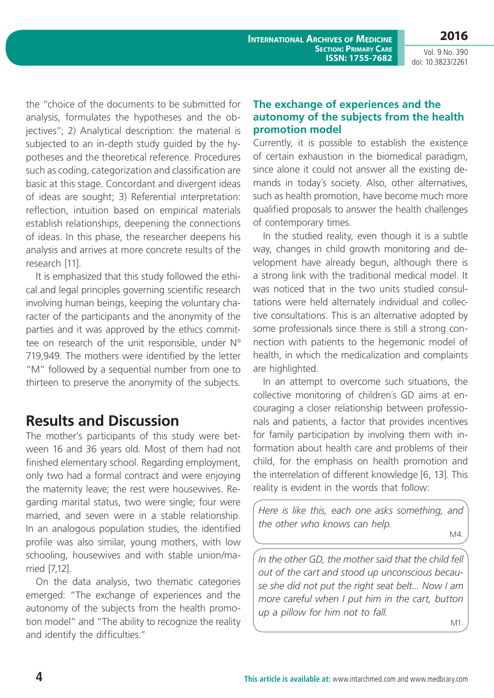**International Archives of Medicine Section: Primary Care ISSN: 1755-7682**

**2016** Vol. 9 No. 390

doi: 10.3823/2261

the "choice of the documents to be submitted for analysis, formulates the hypotheses and the objectives"; 2) Analytical description: the material is subjected to an in-depth study guided by the hypotheses and the theoretical reference. Procedures such as coding, categorization and classification are basic at this stage. Concordant and divergent ideas of ideas are sought; 3) Referential interpretation: reflection, intuition based on empirical materials establish relationships, deepening the connections of ideas. In this phase, the researcher deepens his analysis and arrives at more concrete results of the research [11].

It is emphasized that this study followed the ethical and legal principles governing scientific research involving human beings, keeping the voluntary character of the participants and the anonymity of the parties and it was approved by the ethics committee on research of the unit responsible, under Nº 719,949. The mothers were identified by the letter "M" followed by a sequential number from one to thirteen to preserve the anonymity of the subjects.

# **Results and Discussion**

The mother's participants of this study were between 16 and 36 years old. Most of them had not finished elementary school. Regarding employment, only two had a formal contract and were enjoying the maternity leave; the rest were housewives. Regarding marital status, two were single; four were married, and seven were in a stable relationship. In an analogous population studies, the identified profile was also similar, young mothers, with low schooling, housewives and with stable union/married [7,12].

On the data analysis, two thematic categories emerged: "The exchange of experiences and the autonomy of the subjects from the health promotion model" and "The ability to recognize the reality and identify the difficulties."

#### **The exchange of experiences and the autonomy of the subjects from the health promotion model**

Currently, it is possible to establish the existence of certain exhaustion in the biomedical paradigm, since alone it could not answer all the existing demands in today´s society. Also, other alternatives, such as health promotion, have become much more qualified proposals to answer the health challenges of contemporary times.

In the studied reality, even though it is a subtle way, changes in child growth monitoring and development have already begun, although there is a strong link with the traditional medical model. It was noticed that in the two units studied consultations were held alternately individual and collective consultations. This is an alternative adopted by some professionals since there is still a strong connection with patients to the hegemonic model of health, in which the medicalization and complaints are highlighted.

In an attempt to overcome such situations, the collective monitoring of children´s GD aims at encouraging a closer relationship between professionals and patients, a factor that provides incentives for family participation by involving them with information about health care and problems of their child, for the emphasis on health promotion and the interrelation of different knowledge [6, 13]. This reality is evident in the words that follow:

*Here is like this, each one asks something, and the other who knows can help.*

M4.

In the other GD, the mother said that the child fell *out of the cart and stood up unconscious because she did not put the right seat belt... Now I am more careful when I put him in the cart, button up a pillow for him not to fall.*

M1.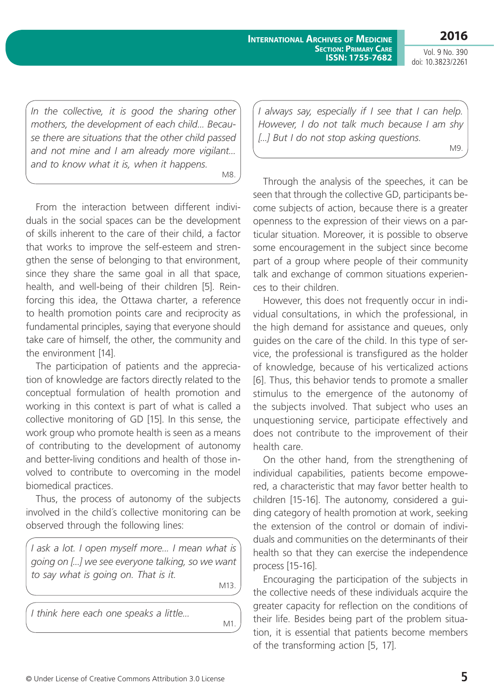**International Archives of Medicine Section: Primary Care ISSN: 1755-7682**

Vol. 9 No. 390 doi: 10.3823/2261

**2016**

In the collective, it is good the sharing other *mothers, the development of each child... Because there are situations that the other child passed and not mine and I am already more vigilant... and to know what it is, when it happens.*

M8.

From the interaction between different individuals in the social spaces can be the development of skills inherent to the care of their child, a factor that works to improve the self-esteem and strengthen the sense of belonging to that environment, since they share the same goal in all that space, health, and well-being of their children [5]. Reinforcing this idea, the Ottawa charter, a reference to health promotion points care and reciprocity as fundamental principles, saying that everyone should take care of himself, the other, the community and the environment [14].

The participation of patients and the appreciation of knowledge are factors directly related to the conceptual formulation of health promotion and working in this context is part of what is called a collective monitoring of GD [15]. In this sense, the work group who promote health is seen as a means of contributing to the development of autonomy and better-living conditions and health of those involved to contribute to overcoming in the model biomedical practices.

Thus, the process of autonomy of the subjects involved in the child´s collective monitoring can be observed through the following lines:

*I ask a lot. I open myself more... I mean what is going on [...] we see everyone talking, so we want to say what is going on. That is it.* M13.

*I think here each one speaks a little...*

M1.

*I always say, especially if I see that I can help. However, I do not talk much because I am shy [...] But I do not stop asking questions.* M9.

Through the analysis of the speeches, it can be seen that through the collective GD, participants become subjects of action, because there is a greater openness to the expression of their views on a particular situation. Moreover, it is possible to observe some encouragement in the subject since become part of a group where people of their community talk and exchange of common situations experiences to their children.

However, this does not frequently occur in individual consultations, in which the professional, in the high demand for assistance and queues, only guides on the care of the child. In this type of service, the professional is transfigured as the holder of knowledge, because of his verticalized actions [6]. Thus, this behavior tends to promote a smaller stimulus to the emergence of the autonomy of the subjects involved. That subject who uses an unquestioning service, participate effectively and does not contribute to the improvement of their health care.

On the other hand, from the strengthening of individual capabilities, patients become empowered, a characteristic that may favor better health to children [15-16]. The autonomy, considered a guiding category of health promotion at work, seeking the extension of the control or domain of individuals and communities on the determinants of their health so that they can exercise the independence process [15-16].

Encouraging the participation of the subjects in the collective needs of these individuals acquire the greater capacity for reflection on the conditions of their life. Besides being part of the problem situation, it is essential that patients become members of the transforming action [5, 17].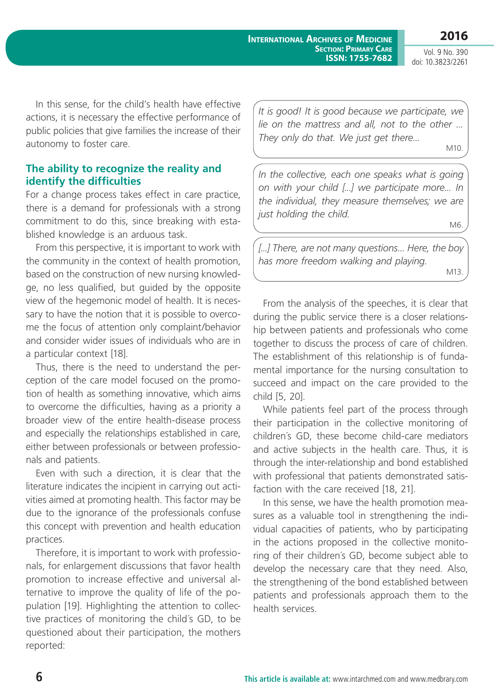Vol. 9 No. 390 doi: 10.3823/2261

In this sense, for the child's health have effective actions, it is necessary the effective performance of public policies that give families the increase of their autonomy to foster care.

#### **The ability to recognize the reality and identify the difficulties**

For a change process takes effect in care practice, there is a demand for professionals with a strong commitment to do this, since breaking with established knowledge is an arduous task.

From this perspective, it is important to work with the community in the context of health promotion, based on the construction of new nursing knowledge, no less qualified, but guided by the opposite view of the hegemonic model of health. It is necessary to have the notion that it is possible to overcome the focus of attention only complaint/behavior and consider wider issues of individuals who are in a particular context [18].

Thus, there is the need to understand the perception of the care model focused on the promotion of health as something innovative, which aims to overcome the difficulties, having as a priority a broader view of the entire health-disease process and especially the relationships established in care, either between professionals or between professionals and patients.

Even with such a direction, it is clear that the literature indicates the incipient in carrying out activities aimed at promoting health. This factor may be due to the ignorance of the professionals confuse this concept with prevention and health education practices.

Therefore, it is important to work with professionals, for enlargement discussions that favor health promotion to increase effective and universal alternative to improve the quality of life of the population [19]. Highlighting the attention to collective practices of monitoring the child´s GD, to be questioned about their participation, the mothers reported:

*It is good! It is good because we participate, we lie on the mattress and all, not to the other ... They only do that. We just get there...*

M10.

M6.

In the collective, each one speaks what is going *on with your child [...] we participate more... In the individual, they measure themselves; we are just holding the child.*

*[...] There, are not many questions... Here, the boy has more freedom walking and playing.* M13.

From the analysis of the speeches, it is clear that during the public service there is a closer relationship between patients and professionals who come together to discuss the process of care of children. The establishment of this relationship is of fundamental importance for the nursing consultation to succeed and impact on the care provided to the child [5, 20].

While patients feel part of the process through their participation in the collective monitoring of children´s GD, these become child-care mediators and active subjects in the health care. Thus, it is through the inter-relationship and bond established with professional that patients demonstrated satisfaction with the care received [18, 21].

In this sense, we have the health promotion measures as a valuable tool in strengthening the individual capacities of patients, who by participating in the actions proposed in the collective monitoring of their children´s GD, become subject able to develop the necessary care that they need. Also, the strengthening of the bond established between patients and professionals approach them to the health services.

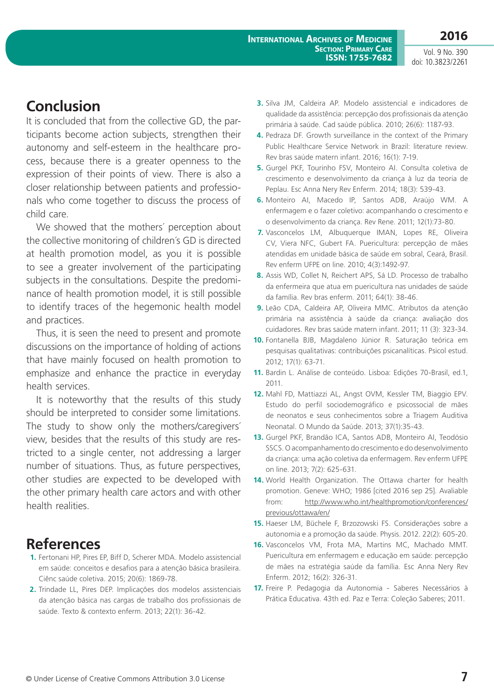Vol. 9 No. 390 doi: 10.3823/2261

# **Conclusion**

It is concluded that from the collective GD, the participants become action subjects, strengthen their autonomy and self-esteem in the healthcare process, because there is a greater openness to the expression of their points of view. There is also a closer relationship between patients and professionals who come together to discuss the process of child care.

We showed that the mothers' perception about the collective monitoring of children´s GD is directed at health promotion model, as you it is possible to see a greater involvement of the participating subjects in the consultations. Despite the predominance of health promotion model, it is still possible to identify traces of the hegemonic health model and practices.

Thus, it is seen the need to present and promote discussions on the importance of holding of actions that have mainly focused on health promotion to emphasize and enhance the practice in everyday health services.

It is noteworthy that the results of this study should be interpreted to consider some limitations. The study to show only the mothers/caregivers´ view, besides that the results of this study are restricted to a single center, not addressing a larger number of situations. Thus, as future perspectives, other studies are expected to be developed with the other primary health care actors and with other health realities.

# **References**

- **1.** Fertonani HP, Pires EP, Biff D, Scherer MDA. Modelo assistencial em saúde: conceitos e desafios para a atenção básica brasileira. Ciênc saúde coletiva. 2015; 20(6): 1869-78.
- **2.** Trindade LL, Pires DEP. Implicações dos modelos assistenciais da atenção básica nas cargas de trabalho dos profissionais de saúde. Texto & contexto enferm. 2013; 22(1): 36-42.
- **3.** Silva JM, Caldeira AP. Modelo assistencial e indicadores de qualidade da assistência: percepção dos profissionais da atenção primária à saúde. Cad saúde pública. 2010; 26(6): 1187-93.
- **4.** Pedraza DF. Growth surveillance in the context of the Primary Public Healthcare Service Network in Brazil: literature review. Rev bras saúde matern infant. 2016; 16(1): 7-19.
- **5.** Gurgel PKF, Tourinho FSV, Monteiro AI. Consulta coletiva de crescimento e desenvolvimento da criança à luz da teoria de Peplau. Esc Anna Nery Rev Enferm. 2014; 18(3): 539-43.
- **6.** Monteiro AI, Macedo IP, Santos ADB, Araújo WM. A enfermagem e o fazer coletivo: acompanhando o crescimento e o desenvolvimento da criança. Rev Rene. 2011; 12(1):73-80.
- **7.** Vasconcelos LM, Albuquerque IMAN, Lopes RE, Oliveira CV, Viera NFC, Gubert FA. Puericultura: percepção de mães atendidas em unidade básica de saúde em sobral, Ceará, Brasil. Rev enferm UFPE on line. 2010; 4(3):1492-97.
- **8.** Assis WD, Collet N, Reichert APS, Sá LD. Processo de trabalho da enfermeira que atua em puericultura nas unidades de saúde da família. Rev bras enferm. 2011; 64(1): 38-46.
- **9.** Leão CDA, Caldeira AP, Oliveira MMC. Atributos da atenção primária na assistência à saúde da criança: avaliação dos cuidadores. Rev bras saúde matern infant. 2011; 11 (3): 323-34.
- **10.** Fontanella BJB, Magdaleno Júnior R. Saturação teórica em pesquisas qualitativas: contribuições psicanalíticas. Psicol estud. 2012; 17(1): 63-71.
- **11.** Bardin L. Análise de conteúdo. Lisboa: Edições 70-Brasil, ed.1, 2011.
- **12.** Mahl FD, Mattiazzi AL, Angst OVM, Kessler TM, Biaggio EPV. Estudo do perfil sociodemográfico e psicossocial de mães de neonatos e seus conhecimentos sobre a Triagem Auditiva Neonatal. O Mundo da Saúde. 2013; 37(1):35-43.
- **13.** Gurgel PKF, Brandão ICA, Santos ADB, Monteiro AI, Teodósio SSCS. O acompanhamento do crescimento e do desenvolvimento da criança: uma ação coletiva da enfermagem. Rev enferm UFPE on line. 2013; 7(2): 625-631.
- **14.** World Health Organization. The Ottawa charter for health promotion. Geneve: WHO; 1986 [cited 2016 sep 25]. Avaliable from: [http://www.who.int/healthpromotion/conferences/](http://www.who.int/healthpromotion/conferences/previous/ottawa/en/) [previous/ottawa/en/](http://www.who.int/healthpromotion/conferences/previous/ottawa/en/)
- **15.** Haeser LM, Büchele F, Brzozowski FS. Considerações sobre a autonomia e a promoção da saúde. Physis. 2012. 22(2): 605-20.
- **16.** Vasconcelos VM, Frota MA, Martins MC, Machado MMT. Puericultura em enfermagem e educação em saúde: percepção de mães na estratégia saúde da família. Esc Anna Nery Rev Enferm. 2012; 16(2): 326-31.
- **17.** Freire P. Pedagogia da Autonomia Saberes Necessários à Prática Educativa. 43th ed. Paz e Terra: Coleção Saberes; 2011.